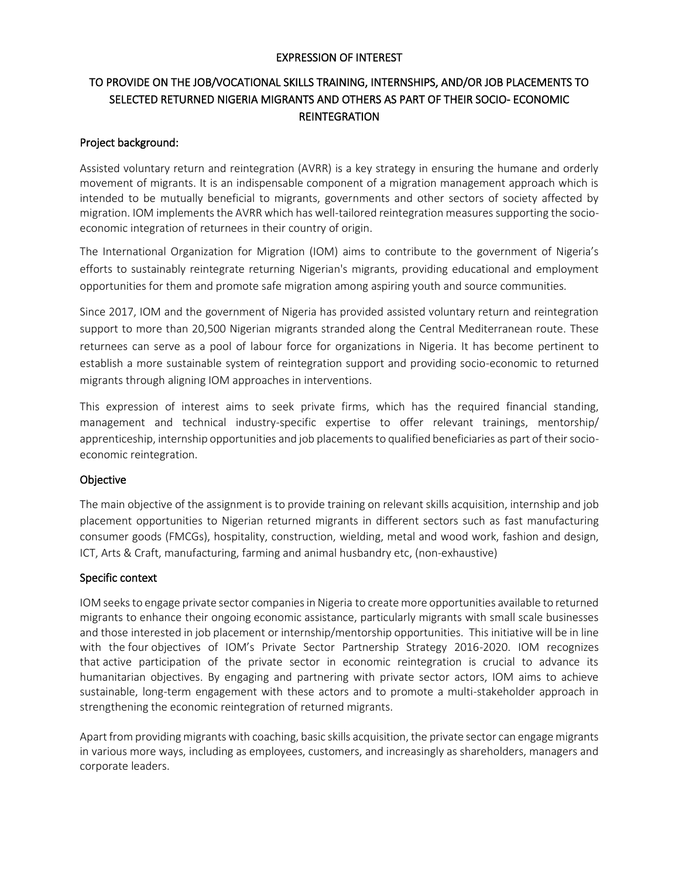## EXPRESSION OF INTEREST

# TO PROVIDE ON THE JOB/VOCATIONAL SKILLS TRAINING, INTERNSHIPS, AND/OR JOB PLACEMENTS TO SELECTED RETURNED NIGERIA MIGRANTS AND OTHERS AS PART OF THEIR SOCIO- ECONOMIC **REINTEGRATION**

## Project background:

Assisted voluntary return and reintegration (AVRR) is a key strategy in ensuring the humane and orderly movement of migrants. It is an indispensable component of a migration management approach which is intended to be mutually beneficial to migrants, governments and other sectors of society affected by migration. IOM implements the AVRR which has well-tailored reintegration measures supporting the socioeconomic integration of returnees in their country of origin.

The International Organization for Migration (IOM) aims to contribute to the government of Nigeria's efforts to sustainably reintegrate returning Nigerian's migrants, providing educational and employment opportunities for them and promote safe migration among aspiring youth and source communities.

Since 2017, IOM and the government of Nigeria has provided assisted voluntary return and reintegration support to more than 20,500 Nigerian migrants stranded along the Central Mediterranean route. These returnees can serve as a pool of labour force for organizations in Nigeria. It has become pertinent to establish a more sustainable system of reintegration support and providing socio-economic to returned migrants through aligning IOM approaches in interventions.

This expression of interest aims to seek private firms, which has the required financial standing, management and technical industry-specific expertise to offer relevant trainings, mentorship/ apprenticeship, internship opportunities and job placements to qualified beneficiaries as part of their socioeconomic reintegration.

## **Objective**

The main objective of the assignment is to provide training on relevant skills acquisition, internship and job placement opportunities to Nigerian returned migrants in different sectors such as fast manufacturing consumer goods (FMCGs), hospitality, construction, wielding, metal and wood work, fashion and design, ICT, Arts & Craft, manufacturing, farming and animal husbandry etc, (non-exhaustive)

## Specific context

IOM seeks to engage private sector companies in Nigeria to create more opportunities available to returned migrants to enhance their ongoing economic assistance, particularly migrants with small scale businesses and those interested in job placement or internship/mentorship opportunities. This initiative will be in line with the four objectives of IOM's Private Sector Partnership Strategy 2016-2020. IOM recognizes that active participation of the private sector in economic reintegration is crucial to advance its humanitarian objectives. By engaging and partnering with private sector actors, IOM aims to achieve sustainable, long-term engagement with these actors and to promote a multi-stakeholder approach in strengthening the economic reintegration of returned migrants.

Apart from providing migrants with coaching, basic skills acquisition, the private sector can engage migrants in various more ways, including as employees, customers, and increasingly as shareholders, managers and corporate leaders.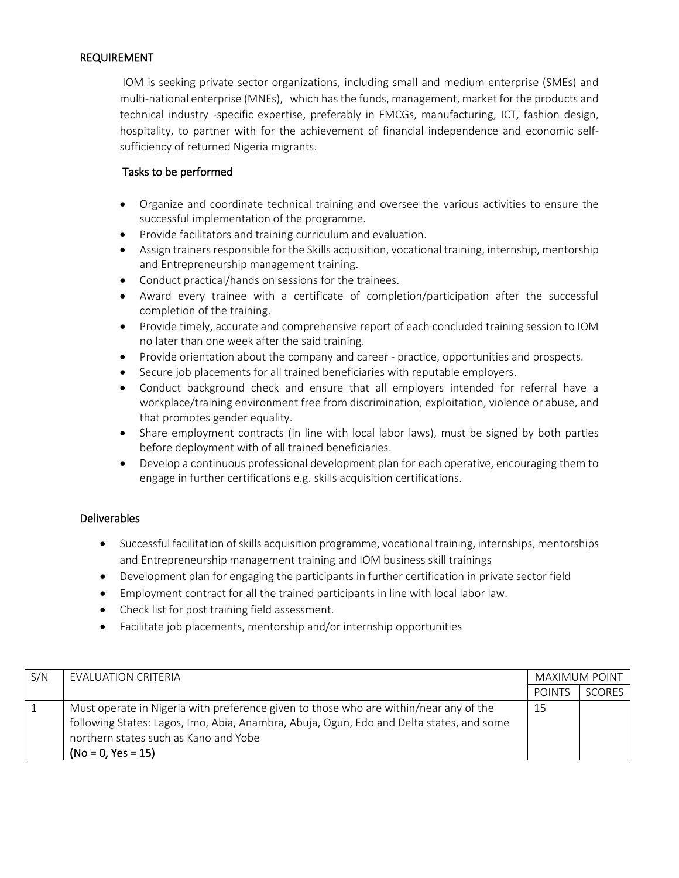## REQUIREMENT

IOM is seeking private sector organizations, including small and medium enterprise (SMEs) and multi-national enterprise (MNEs), which has the funds, management, market for the products and technical industry -specific expertise, preferably in FMCGs, manufacturing, ICT, fashion design, hospitality, to partner with for the achievement of financial independence and economic selfsufficiency of returned Nigeria migrants.

## Tasks to be performed

- Organize and coordinate technical training and oversee the various activities to ensure the successful implementation of the programme.
- Provide facilitators and training curriculum and evaluation.
- Assign trainers responsible for the Skills acquisition, vocational training, internship, mentorship and Entrepreneurship management training.
- Conduct practical/hands on sessions for the trainees.
- Award every trainee with a certificate of completion/participation after the successful completion of the training.
- Provide timely, accurate and comprehensive report of each concluded training session to IOM no later than one week after the said training.
- Provide orientation about the company and career practice, opportunities and prospects.
- Secure job placements for all trained beneficiaries with reputable employers.
- Conduct background check and ensure that all employers intended for referral have a workplace/training environment free from discrimination, exploitation, violence or abuse, and that promotes gender equality.
- Share employment contracts (in line with local labor laws), must be signed by both parties before deployment with of all trained beneficiaries.
- Develop a continuous professional development plan for each operative, encouraging them to engage in further certifications e.g. skills acquisition certifications.

## Deliverables

- Successful facilitation of skills acquisition programme, vocational training, internships, mentorships and Entrepreneurship management training and IOM business skill trainings
- Development plan for engaging the participants in further certification in private sector field
- Employment contract for all the trained participants in line with local labor law.
- Check list for post training field assessment.
- Facilitate job placements, mentorship and/or internship opportunities

| S/N | EVALUATION CRITERIA                                                                                                                                                                                                                                | MAXIMUM POINT |               |
|-----|----------------------------------------------------------------------------------------------------------------------------------------------------------------------------------------------------------------------------------------------------|---------------|---------------|
|     |                                                                                                                                                                                                                                                    | <b>POINTS</b> | <b>SCORES</b> |
|     | Must operate in Nigeria with preference given to those who are within/near any of the<br>following States: Lagos, Imo, Abia, Anambra, Abuja, Ogun, Edo and Delta states, and some<br>northern states such as Kano and Yobe<br>$(No = 0, Yes = 15)$ | 15            |               |